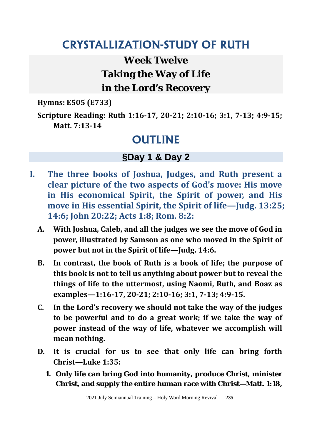# **CRYSTALLIZATION-STUDY OF RUTH**

# **Week Twelve Taking the Way of Life in the Lord's Recovery**

**Hymns: E505 (E733)** 

**Scripture Reading: Ruth 1:16-17, 20-21; 2:10-16; 3:1, 7-13; 4:9-15; Matt. 7:13-14** 

# **OUTLINE**

# **§Day 1 & Day 2**

- **I. The three books of Joshua, Judges, and Ruth present a clear picture of the two aspects of God's move: His move in His economical Spirit, the Spirit of power, and His move in His essential Spirit, the Spirit of life—Judg. 13:25; 14:6; John 20:22; Acts 1:8; Rom. 8:2:**
	- **A. With Joshua, Caleb, and all the judges we see the move of God in power, illustrated by Samson as one who moved in the Spirit of power but not in the Spirit of life—Judg. 14:6.**
	- **B. In contrast, the book of Ruth is a book of life; the purpose of this book is not to tell us anything about power but to reveal the things of life to the uttermost, using Naomi, Ruth, and Boaz as examples—1:16-17, 20-21; 2:10-16; 3:1, 7-13; 4:9-15.**
	- **C. In the Lord's recovery we should not take the way of the judges to be powerful and to do a great work; if we take the way of power instead of the way of life, whatever we accomplish will mean nothing.**
	- **D. It is crucial for us to see that only life can bring forth Christ—Luke 1:35:** 
		- **1. Only life can bring God into humanity, produce Christ, minister Christ, and supply the entire human race with Christ—Matt. 1:18,**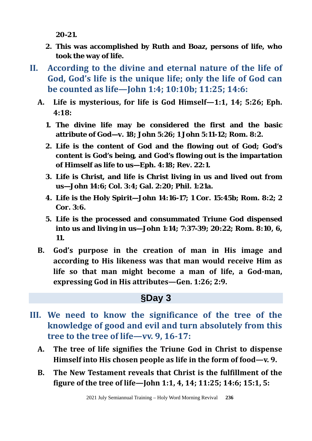**20-21.**

- **2. This was accomplished by Ruth and Boaz, persons of life, who took the way of life.**
- **II. According to the divine and eternal nature of the life of God, God's life is the unique life; only the life of God can be counted as life—John 1:4; 10:10b; 11:25; 14:6:**
	- **A. Life is mysterious, for life is God Himself—1:1, 14; 5:26; Eph. 4:18:** 
		- **1. The divine life may be considered the first and the basic attribute of God—v. 18; John 5:26; 1 John 5:11-12; Rom. 8:2.**
		- **2. Life is the content of God and the flowing out of God; God's content is God's being, and God's flowing out is the impartation of Himself as life to us—Eph. 4:18; Rev. 22:1.**
		- **3. Life is Christ, and life is Christ living in us and lived out from us—John 14:6; Col. 3:4; Gal. 2:20; Phil. 1:21a.**
		- **4. Life is the Holy Spirit—John 14:16-17; 1 Cor. 15:45b; Rom. 8:2; 2 Cor. 3:6.**
		- **5. Life is the processed and consummated Triune God dispensed into us and living in us—John 1:14; 7:37-39; 20:22; Rom. 8:10, 6, 11.**
	- **B. God's purpose in the creation of man in His image and according to His likeness was that man would receive Him as life so that man might become a man of life, a God-man, expressing God in His attributes—Gen. 1:26; 2:9.**

- **III. We need to know the significance of the tree of the knowledge of good and evil and turn absolutely from this tree to the tree of life—vv. 9, 16-17:**
	- **A. The tree of life signifies the Triune God in Christ to dispense Himself into His chosen people as life in the form of food—v. 9.**
	- **B. The New Testament reveals that Christ is the fulfillment of the figure of the tree of life—John 1:1, 4, 14; 11:25; 14:6; 15:1, 5:**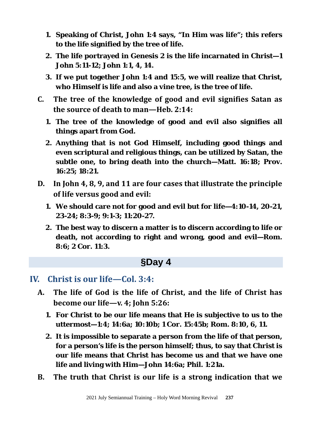- **1. Speaking of Christ, John 1:4 says, "In Him was life"; this refers to the life signified by the tree of life.**
- **2. The life portrayed in Genesis 2 is the life incarnated in Christ—1 John 5:11-12; John 1:1, 4, 14.**
- **3. If we put together John 1:4 and 15:5, we will realize that Christ, who Himself is life and also a vine tree, is the tree of life.**
- **C. The tree of the knowledge of good and evil signifies Satan as the source of death to man—Heb. 2:14:**
	- **1. The tree of the knowledge of good and evil also signifies all things apart from God.**
	- **2. Anything that is not God Himself, including good things and even scriptural and religious things, can be utilized by Satan, the subtle one, to bring death into the church—Matt. 16:18; Prov. 16:25; 18:21.**
- **D. In John 4, 8, 9, and 11 are four cases that illustrate the principle of life versus good and evil:**
	- **1. We should care not for good and evil but for life—4:10-14, 20-21, 23-24; 8:3-9; 9:1-3; 11:20-27.**
	- **2. The best way to discern a matter is to discern according to life or death, not according to right and wrong, good and evil—Rom. 8:6; 2 Cor. 11:3.**

- **IV. Christ is our life—Col. 3:4:**
	- **A. The life of God is the life of Christ, and the life of Christ has become our life—v. 4; John 5:26:** 
		- **1. For Christ to be our life means that He is subjective to us to the uttermost—1:4; 14:6a; 10:10b; 1 Cor. 15:45b; Rom. 8:10, 6, 11.**
		- **2. It is impossible to separate a person from the life of that person, for a person's life is the person himself; thus, to say that Christ is our life means that Christ has become us and that we have one life and living with Him—John 14:6a; Phil. 1:21a.**
	- **B. The truth that Christ is our life is a strong indication that we**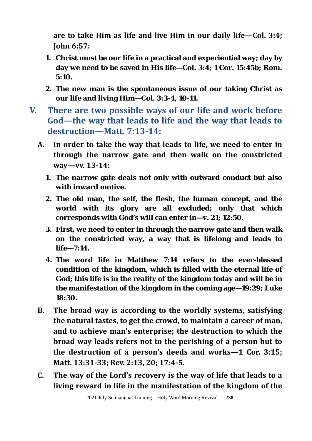**are to take Him as life and live Him in our daily life—Col. 3:4; John 6:57:**

- **1. Christ must be our life in a practical and experiential way; day by day we need to be saved in His life—Col. 3:4; 1 Cor. 15:45b; Rom. 5:10.**
- **2. The new man is the spontaneous issue of our taking Christ as our life and living Him—Col. 3:3-4, 10-11.**
- **V. There are two possible ways of our life and work before God—the way that leads to life and the way that leads to destruction—Matt. 7:13-14:**
	- **A. In order to take the way that leads to life, we need to enter in through the narrow gate and then walk on the constricted way—vv. 13-14:** 
		- **1. The narrow gate deals not only with outward conduct but also with inward motive.**
		- **2. The old man, the self, the flesh, the human concept, and the world with its glory are all excluded; only that which corresponds with God's will can enter in—v. 21; 12:50.**
		- **3. First, we need to enter in through the narrow gate and then walk on the constricted way, a way that is lifelong and leads to life—7:14.**
		- **4. The word life in Matthew 7:14 refers to the ever-blessed condition of the kingdom, which is filled with the eternal life of God; this life is in the reality of the kingdom today and will be in the manifestation of the kingdom in the coming age—19:29; Luke 18:30.**
	- **B. The broad way is according to the worldly systems, satisfying the natural tastes, to get the crowd, to maintain a career of man, and to achieve man's enterprise; the destruction to which the broad way leads refers not to the perishing of a person but to the destruction of a person's deeds and works—1 Cor. 3:15; Matt. 13:31-33; Rev. 2:13, 20; 17:4-5.**
	- **C. The way of the Lord's recovery is the way of life that leads to a living reward in life in the manifestation of the kingdom of the**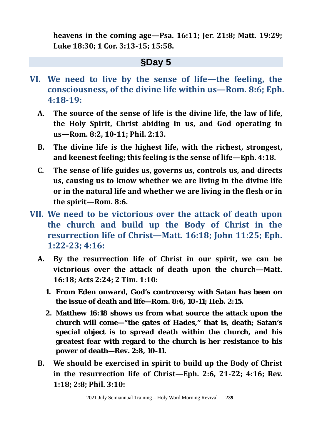**heavens in the coming age—Psa. 16:11; Jer. 21:8; Matt. 19:29; Luke 18:30; 1 Cor. 3:13-15; 15:58.** 

- **VI. We need to live by the sense of life—the feeling, the consciousness, of the divine life within us—Rom. 8:6; Eph. 4:18-19:**
	- **A. The source of the sense of life is the divine life, the law of life, the Holy Spirit, Christ abiding in us, and God operating in us—Rom. 8:2, 10-11; Phil. 2:13.**
	- **B. The divine life is the highest life, with the richest, strongest, and keenest feeling; this feeling is the sense of life—Eph. 4:18.**
	- **C. The sense of life guides us, governs us, controls us, and directs us, causing us to know whether we are living in the divine life or in the natural life and whether we are living in the flesh or in the spirit—Rom. 8:6.**
- **VII. We need to be victorious over the attack of death upon the church and build up the Body of Christ in the resurrection life of Christ—Matt. 16:18; John 11:25; Eph. 1:22-23; 4:16:**
	- **A. By the resurrection life of Christ in our spirit, we can be victorious over the attack of death upon the church—Matt. 16:18; Acts 2:24; 2 Tim. 1:10:** 
		- **1. From Eden onward, God's controversy with Satan has been on the issue of death and life—Rom. 8:6, 10-11; Heb. 2:15.**
		- **2. Matthew 16:18 shows us from what source the attack upon the church will come—"the gates of Hades," that is, death; Satan's special object is to spread death within the church, and his greatest fear with regard to the church is her resistance to his power of death—Rev. 2:8, 10-11.**
	- **B. We should be exercised in spirit to build up the Body of Christ in the resurrection life of Christ—Eph. 2:6, 21-22; 4:16; Rev. 1:18; 2:8; Phil. 3:10:**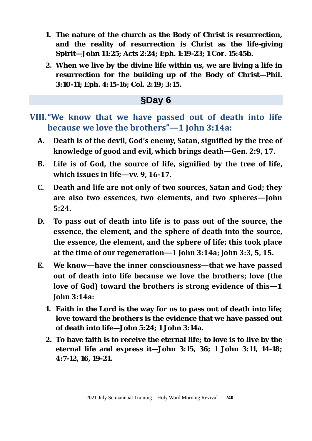- **1. The nature of the church as the Body of Christ is resurrection, and the reality of resurrection is Christ as the life-giving Spirit—John 11:25; Acts 2:24; Eph. 1:19-23; 1 Cor. 15:45b.**
- **2. When we live by the divine life within us, we are living a life in resurrection for the building up of the Body of Christ—Phil. 3:10-11; Eph. 4:15-16; Col. 2:19; 3:15.**

- **VIII. "We know that we have passed out of death into life because we love the brothers"—1 John 3:14a:**
	- **A. Death is of the devil, God's enemy, Satan, signified by the tree of knowledge of good and evil, which brings death—Gen. 2:9, 17.**
	- **B. Life is of God, the source of life, signified by the tree of life, which issues in life—vv. 9, 16-17.**
	- **C. Death and life are not only of two sources, Satan and God; they are also two essences, two elements, and two spheres—John 5:24.**
	- **D. To pass out of death into life is to pass out of the source, the essence, the element, and the sphere of death into the source, the essence, the element, and the sphere of life; this took place at the time of our regeneration—1 John 3:14a; John 3:3, 5, 15.**
	- **E. We know—have the inner consciousness—that we have passed out of death into life because we love the brothers; love (the love of God) toward the brothers is strong evidence of this—1 John 3:14a:**
		- **1. Faith in the Lord is the way for us to pass out of death into life; love toward the brothers is the evidence that we have passed out of death into life—John 5:24; 1 John 3:14a.**
		- **2. To have faith is to receive the eternal life; to love is to live by the eternal life and express it—John 3:15, 36; 1 John 3:11, 14-18; 4:7-12, 16, 19-21.**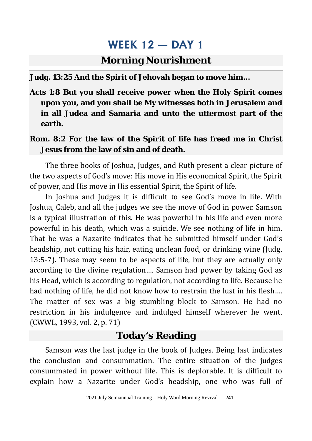## **Morning Nourishment**

**Judg. 13:25 And the Spirit of Jehovah began to move him…**

**Acts 1:8 But you shall receive power when the Holy Spirit comes upon you, and you shall be My witnesses both in Jerusalem and in all Judea and Samaria and unto the uttermost part of the earth.**

#### **Rom. 8:2 For the law of the Spirit of life has freed me in Christ Jesus from the law of sin and of death.**

The three books of Joshua, Judges, and Ruth present a clear picture of the two aspects of God's move: His move in His economical Spirit, the Spirit of power, and His move in His essential Spirit, the Spirit of life.

In Joshua and Judges it is difficult to see God's move in life. With Joshua, Caleb, and all the judges we see the move of God in power. Samson is a typical illustration of this. He was powerful in his life and even more powerful in his death, which was a suicide. We see nothing of life in him. That he was a Nazarite indicates that he submitted himself under God's headship, not cutting his hair, eating unclean food, or drinking wine (Judg. 13:5-7). These may seem to be aspects of life, but they are actually only according to the divine regulation…. Samson had power by taking God as his Head, which is according to regulation, not according to life. Because he had nothing of life, he did not know how to restrain the lust in his flesh…. The matter of sex was a big stumbling block to Samson. He had no restriction in his indulgence and indulged himself wherever he went. (CWWL, 1993, vol. 2, p. 71)

## **Today's Reading**

Samson was the last judge in the book of Judges. Being last indicates the conclusion and consummation. The entire situation of the judges consummated in power without life. This is deplorable. It is difficult to explain how a Nazarite under God's headship, one who was full of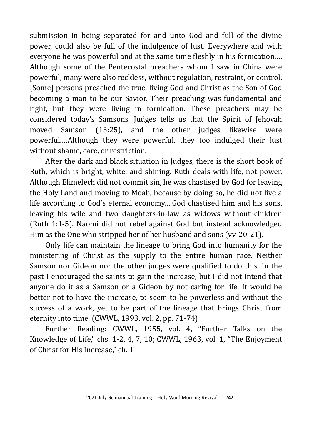submission in being separated for and unto God and full of the divine power, could also be full of the indulgence of lust. Everywhere and with everyone he was powerful and at the same time fleshly in his fornication…. Although some of the Pentecostal preachers whom I saw in China were powerful, many were also reckless, without regulation, restraint, or control. [Some] persons preached the true, living God and Christ as the Son of God becoming a man to be our Savior. Their preaching was fundamental and right, but they were living in fornication. These preachers may be considered today's Samsons. Judges tells us that the Spirit of Jehovah moved Samson (13:25), and the other judges likewise were powerful.…Although they were powerful, they too indulged their lust without shame, care, or restriction.

After the dark and black situation in Judges, there is the short book of Ruth, which is bright, white, and shining. Ruth deals with life, not power. Although Elimelech did not commit sin, he was chastised by God for leaving the Holy Land and moving to Moab, because by doing so, he did not live a life according to God's eternal economy….God chastised him and his sons, leaving his wife and two daughters-in-law as widows without children (Ruth 1:1-5). Naomi did not rebel against God but instead acknowledged Him as the One who stripped her of her husband and sons (vv. 20-21).

Only life can maintain the lineage to bring God into humanity for the ministering of Christ as the supply to the entire human race. Neither Samson nor Gideon nor the other judges were qualified to do this. In the past I encouraged the saints to gain the increase, but I did not intend that anyone do it as a Samson or a Gideon by not caring for life. It would be better not to have the increase, to seem to be powerless and without the success of a work, yet to be part of the lineage that brings Christ from eternity into time. (CWWL, 1993, vol. 2, pp. 71-74)

Further Reading: CWWL, 1955, vol. 4, "Further Talks on the Knowledge of Life," chs. 1-2, 4, 7, 10; CWWL, 1963, vol. 1, "The Enjoyment of Christ for His Increase," ch. 1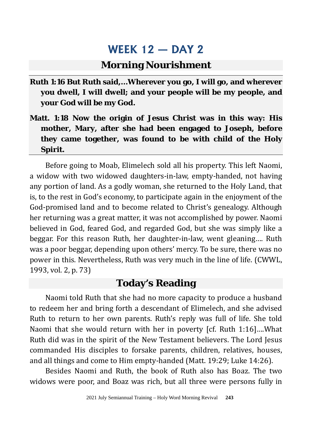### **Morning Nourishment**

- **Ruth 1:16 But Ruth said,…Wherever you go, I will go, and wherever you dwell, I will dwell; and your people will be my people, and your God will be my God.**
- **Matt. 1:18 Now the origin of Jesus Christ was in this way: His mother, Mary, after she had been engaged to Joseph, before they came together, was found to be with child of the Holy Spirit.**

Before going to Moab, Elimelech sold all his property. This left Naomi, a widow with two widowed daughters-in-law, empty-handed, not having any portion of land. As a godly woman, she returned to the Holy Land, that is, to the rest in God's economy, to participate again in the enjoyment of the God-promised land and to become related to Christ's genealogy. Although her returning was a great matter, it was not accomplished by power. Naomi believed in God, feared God, and regarded God, but she was simply like a beggar. For this reason Ruth, her daughter-in-law, went gleaning…. Ruth was a poor beggar, depending upon others' mercy. To be sure, there was no power in this. Nevertheless, Ruth was very much in the line of life. (CWWL, 1993, vol. 2, p. 73)

## **Today's Reading**

Naomi told Ruth that she had no more capacity to produce a husband to redeem her and bring forth a descendant of Elimelech, and she advised Ruth to return to her own parents. Ruth's reply was full of life. She told Naomi that she would return with her in poverty [cf. Ruth 1:16]….What Ruth did was in the spirit of the New Testament believers. The Lord Jesus commanded His disciples to forsake parents, children, relatives, houses, and all things and come to Him empty-handed (Matt. 19:29; Luke 14:26).

Besides Naomi and Ruth, the book of Ruth also has Boaz. The two widows were poor, and Boaz was rich, but all three were persons fully in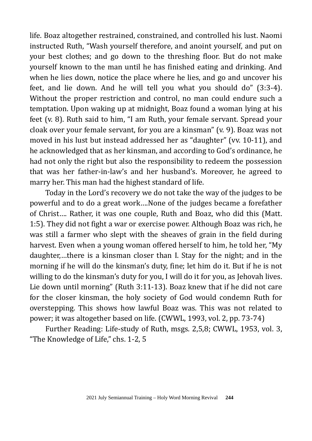life. Boaz altogether restrained, constrained, and controlled his lust. Naomi instructed Ruth, "Wash yourself therefore, and anoint yourself, and put on your best clothes; and go down to the threshing floor. But do not make yourself known to the man until he has finished eating and drinking. And when he lies down, notice the place where he lies, and go and uncover his feet, and lie down. And he will tell you what you should do" (3:3-4). Without the proper restriction and control, no man could endure such a temptation. Upon waking up at midnight, Boaz found a woman lying at his feet (v. 8). Ruth said to him, "I am Ruth, your female servant. Spread your cloak over your female servant, for you are a kinsman" (v. 9). Boaz was not moved in his lust but instead addressed her as "daughter" (vv. 10-11), and he acknowledged that as her kinsman, and according to God's ordinance, he had not only the right but also the responsibility to redeem the possession that was her father-in-law's and her husband's. Moreover, he agreed to marry her. This man had the highest standard of life.

Today in the Lord's recovery we do not take the way of the judges to be powerful and to do a great work….None of the judges became a forefather of Christ…. Rather, it was one couple, Ruth and Boaz, who did this (Matt. 1:5). They did not fight a war or exercise power. Although Boaz was rich, he was still a farmer who slept with the sheaves of grain in the field during harvest. Even when a young woman offered herself to him, he told her, "My daughter,…there is a kinsman closer than I. Stay for the night; and in the morning if he will do the kinsman's duty, fine; let him do it. But if he is not willing to do the kinsman's duty for you, I will do it for you, as Jehovah lives. Lie down until morning" (Ruth 3:11-13). Boaz knew that if he did not care for the closer kinsman, the holy society of God would condemn Ruth for overstepping. This shows how lawful Boaz was. This was not related to power; it was altogether based on life. (CWWL, 1993, vol. 2, pp. 73-74)

Further Reading: Life-study of Ruth, msgs. 2,5,8; CWWL, 1953, vol. 3, "The Knowledge of Life," chs. 1-2, 5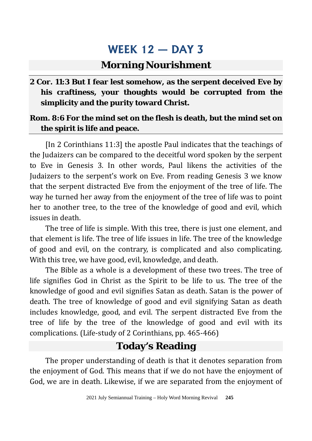# **Morning Nourishment**

**2 Cor. 11:3 But I fear lest somehow, as the serpent deceived Eve by his craftiness, your thoughts would be corrupted from the simplicity and the purity toward Christ.**

#### **Rom. 8:6 For the mind set on the flesh is death, but the mind set on the spirit is life and peace.**

[In 2 Corinthians 11:3] the apostle Paul indicates that the teachings of the Judaizers can be compared to the deceitful word spoken by the serpent to Eve in Genesis 3. In other words, Paul likens the activities of the Judaizers to the serpent's work on Eve. From reading Genesis 3 we know that the serpent distracted Eve from the enjoyment of the tree of life. The way he turned her away from the enjoyment of the tree of life was to point her to another tree, to the tree of the knowledge of good and evil, which issues in death.

The tree of life is simple. With this tree, there is just one element, and that element is life. The tree of life issues in life. The tree of the knowledge of good and evil, on the contrary, is complicated and also complicating. With this tree, we have good, evil, knowledge, and death.

The Bible as a whole is a development of these two trees. The tree of life signifies God in Christ as the Spirit to be life to us. The tree of the knowledge of good and evil signifies Satan as death. Satan is the power of death. The tree of knowledge of good and evil signifying Satan as death includes knowledge, good, and evil. The serpent distracted Eve from the tree of life by the tree of the knowledge of good and evil with its complications. (Life-study of 2 Corinthians, pp. 465-466)

# **Today's Reading**

The proper understanding of death is that it denotes separation from the enjoyment of God. This means that if we do not have the enjoyment of God, we are in death. Likewise, if we are separated from the enjoyment of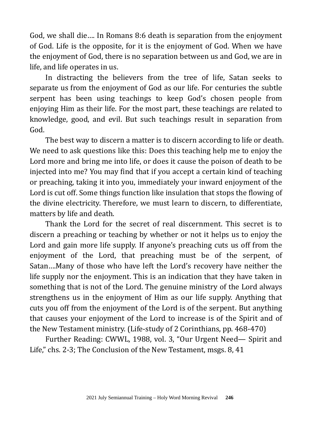God, we shall die…. In Romans 8:6 death is separation from the enjoyment of God. Life is the opposite, for it is the enjoyment of God. When we have the enjoyment of God, there is no separation between us and God, we are in life, and life operates in us.

In distracting the believers from the tree of life, Satan seeks to separate us from the enjoyment of God as our life. For centuries the subtle serpent has been using teachings to keep God's chosen people from enjoying Him as their life. For the most part, these teachings are related to knowledge, good, and evil. But such teachings result in separation from God.

The best way to discern a matter is to discern according to life or death. We need to ask questions like this: Does this teaching help me to enjoy the Lord more and bring me into life, or does it cause the poison of death to be injected into me? You may find that if you accept a certain kind of teaching or preaching, taking it into you, immediately your inward enjoyment of the Lord is cut off. Some things function like insulation that stops the flowing of the divine electricity. Therefore, we must learn to discern, to differentiate, matters by life and death.

Thank the Lord for the secret of real discernment. This secret is to discern a preaching or teaching by whether or not it helps us to enjoy the Lord and gain more life supply. If anyone's preaching cuts us off from the enjoyment of the Lord, that preaching must be of the serpent, of Satan….Many of those who have left the Lord's recovery have neither the life supply nor the enjoyment. This is an indication that they have taken in something that is not of the Lord. The genuine ministry of the Lord always strengthens us in the enjoyment of Him as our life supply. Anything that cuts you off from the enjoyment of the Lord is of the serpent. But anything that causes your enjoyment of the Lord to increase is of the Spirit and of the New Testament ministry. (Life-study of 2 Corinthians, pp. 468-470)

Further Reading: CWWL, 1988, vol. 3, "Our Urgent Need— Spirit and Life," chs. 2-3; The Conclusion of the New Testament, msgs. 8, 41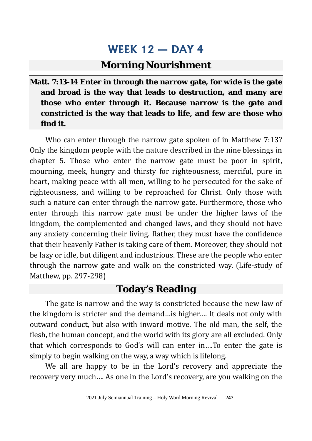### **Morning Nourishment**

### **Matt. 7:13-14 Enter in through the narrow gate, for wide is the gate and broad is the way that leads to destruction, and many are those who enter through it. Because narrow is the gate and constricted is the way that leads to life, and few are those who find it.**

Who can enter through the narrow gate spoken of in Matthew 7:13? Only the kingdom people with the nature described in the nine blessings in chapter 5. Those who enter the narrow gate must be poor in spirit, mourning, meek, hungry and thirsty for righteousness, merciful, pure in heart, making peace with all men, willing to be persecuted for the sake of righteousness, and willing to be reproached for Christ. Only those with such a nature can enter through the narrow gate. Furthermore, those who enter through this narrow gate must be under the higher laws of the kingdom, the complemented and changed laws, and they should not have any anxiety concerning their living. Rather, they must have the confidence that their heavenly Father is taking care of them. Moreover, they should not be lazy or idle, but diligent and industrious. These are the people who enter through the narrow gate and walk on the constricted way. (Life-study of Matthew, pp. 297-298)

## **Today's Reading**

The gate is narrow and the way is constricted because the new law of the kingdom is stricter and the demand…is higher…. It deals not only with outward conduct, but also with inward motive. The old man, the self, the flesh, the human concept, and the world with its glory are all excluded. Only that which corresponds to God's will can enter in….To enter the gate is simply to begin walking on the way, a way which is lifelong.

We all are happy to be in the Lord's recovery and appreciate the recovery very much…. As one in the Lord's recovery, are you walking on the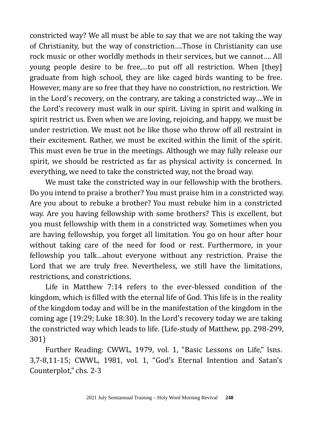constricted way? We all must be able to say that we are not taking the way of Christianity, but the way of constriction….Those in Christianity can use rock music or other worldly methods in their services, but we cannot…. All young people desire to be free,…to put off all restriction. When [they] graduate from high school, they are like caged birds wanting to be free. However, many are so free that they have no constriction, no restriction. We in the Lord's recovery, on the contrary, are taking a constricted way….We in the Lord's recovery must walk in our spirit. Living in spirit and walking in spirit restrict us. Even when we are loving, rejoicing, and happy, we must be under restriction. We must not be like those who throw off all restraint in their excitement. Rather, we must be excited within the limit of the spirit. This must even be true in the meetings. Although we may fully release our spirit, we should be restricted as far as physical activity is concerned. In everything, we need to take the constricted way, not the broad way.

We must take the constricted way in our fellowship with the brothers. Do you intend to praise a brother? You must praise him in a constricted way. Are you about to rebuke a brother? You must rebuke him in a constricted way. Are you having fellowship with some brothers? This is excellent, but you must fellowship with them in a constricted way. Sometimes when you are having fellowship, you forget all limitation. You go on hour after hour without taking care of the need for food or rest. Furthermore, in your fellowship you talk…about everyone without any restriction. Praise the Lord that we are truly free. Nevertheless, we still have the limitations, restrictions, and constrictions.

Life in Matthew 7:14 refers to the ever-blessed condition of the kingdom, which is filled with the eternal life of God. This life is in the reality of the kingdom today and will be in the manifestation of the kingdom in the coming age (19:29; Luke 18:30). In the Lord's recovery today we are taking the constricted way which leads to life. (Life-study of Matthew, pp. 298-299, 301)

Further Reading: CWWL, 1979, vol. 1, "Basic Lessons on Life," lsns. 3,7-8,11-15; CWWL, 1981, vol. 1, "God's Eternal Intention and Satan's Counterplot," chs. 2-3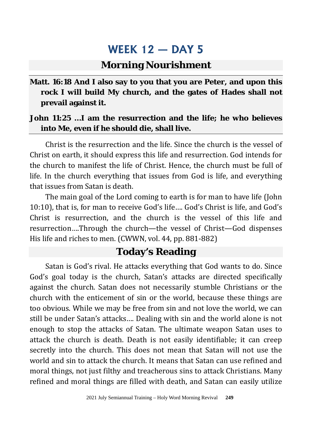### **Morning Nourishment**

**Matt. 16:18 And I also say to you that you are Peter, and upon this rock I will build My church, and the gates of Hades shall not prevail against it.**

**John 11:25 …I am the resurrection and the life; he who believes into Me, even if he should die, shall live.**

Christ is the resurrection and the life. Since the church is the vessel of Christ on earth, it should express this life and resurrection. God intends for the church to manifest the life of Christ. Hence, the church must be full of life. In the church everything that issues from God is life, and everything that issues from Satan is death.

The main goal of the Lord coming to earth is for man to have life (John 10:10), that is, for man to receive God's life…. God's Christ is life, and God's Christ is resurrection, and the church is the vessel of this life and resurrection….Through the church—the vessel of Christ—God dispenses His life and riches to men. (CWWN, vol. 44, pp. 881-882)

# **Today's Reading**

Satan is God's rival. He attacks everything that God wants to do. Since God's goal today is the church, Satan's attacks are directed specifically against the church. Satan does not necessarily stumble Christians or the church with the enticement of sin or the world, because these things are too obvious. While we may be free from sin and not love the world, we can still be under Satan's attacks…. Dealing with sin and the world alone is not enough to stop the attacks of Satan. The ultimate weapon Satan uses to attack the church is death. Death is not easily identifiable; it can creep secretly into the church. This does not mean that Satan will not use the world and sin to attack the church. It means that Satan can use refined and moral things, not just filthy and treacherous sins to attack Christians. Many refined and moral things are filled with death, and Satan can easily utilize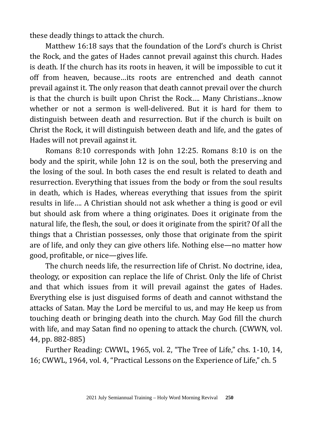these deadly things to attack the church.

Matthew 16:18 says that the foundation of the Lord's church is Christ the Rock, and the gates of Hades cannot prevail against this church. Hades is death. If the church has its roots in heaven, it will be impossible to cut it off from heaven, because…its roots are entrenched and death cannot prevail against it. The only reason that death cannot prevail over the church is that the church is built upon Christ the Rock…. Many Christians…know whether or not a sermon is well-delivered. But it is hard for them to distinguish between death and resurrection. But if the church is built on Christ the Rock, it will distinguish between death and life, and the gates of Hades will not prevail against it.

Romans 8:10 corresponds with John 12:25. Romans 8:10 is on the body and the spirit, while John 12 is on the soul, both the preserving and the losing of the soul. In both cases the end result is related to death and resurrection. Everything that issues from the body or from the soul results in death, which is Hades, whereas everything that issues from the spirit results in life…. A Christian should not ask whether a thing is good or evil but should ask from where a thing originates. Does it originate from the natural life, the flesh, the soul, or does it originate from the spirit? Of all the things that a Christian possesses, only those that originate from the spirit are of life, and only they can give others life. Nothing else—no matter how good, profitable, or nice—gives life.

The church needs life, the resurrection life of Christ. No doctrine, idea, theology, or exposition can replace the life of Christ. Only the life of Christ and that which issues from it will prevail against the gates of Hades. Everything else is just disguised forms of death and cannot withstand the attacks of Satan. May the Lord be merciful to us, and may He keep us from touching death or bringing death into the church. May God fill the church with life, and may Satan find no opening to attack the church. (CWWN, vol. 44, pp. 882-885)

Further Reading: CWWL, 1965, vol. 2, "The Tree of Life," chs. 1-10, 14, 16; CWWL, 1964, vol. 4, "Practical Lessons on the Experience of Life," ch. 5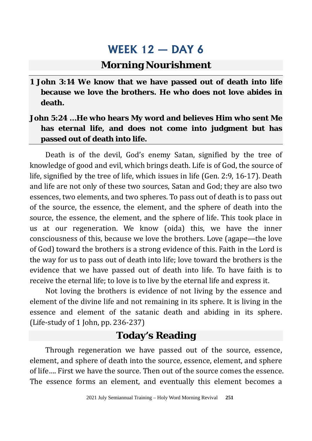#### **Morning Nourishment**

**1 John 3:14 We know that we have passed out of death into life because we love the brothers. He who does not love abides in death.**

### **John 5:24 …He who hears My word and believes Him who sent Me has eternal life, and does not come into judgment but has passed out of death into life.**

Death is of the devil, God's enemy Satan, signified by the tree of knowledge of good and evil, which brings death. Life is of God, the source of life, signified by the tree of life, which issues in life (Gen. 2:9, 16-17). Death and life are not only of these two sources, Satan and God; they are also two essences, two elements, and two spheres. To pass out of death is to pass out of the source, the essence, the element, and the sphere of death into the source, the essence, the element, and the sphere of life. This took place in us at our regeneration. We know (oida) this, we have the inner consciousness of this, because we love the brothers. Love (agape—the love of God) toward the brothers is a strong evidence of this. Faith in the Lord is the way for us to pass out of death into life; love toward the brothers is the evidence that we have passed out of death into life. To have faith is to receive the eternal life; to love is to live by the eternal life and express it.

Not loving the brothers is evidence of not living by the essence and element of the divine life and not remaining in its sphere. It is living in the essence and element of the satanic death and abiding in its sphere. (Life-study of 1 John, pp. 236-237)

### **Today's Reading**

Through regeneration we have passed out of the source, essence, element, and sphere of death into the source, essence, element, and sphere of life…. First we have the source. Then out of the source comes the essence. The essence forms an element, and eventually this element becomes a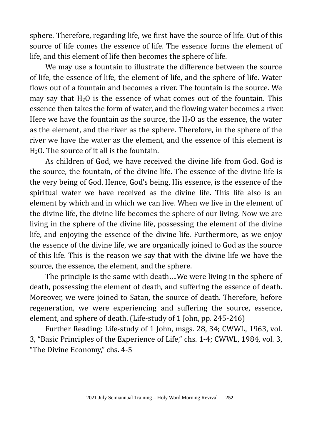sphere. Therefore, regarding life, we first have the source of life. Out of this source of life comes the essence of life. The essence forms the element of life, and this element of life then becomes the sphere of life.

We may use a fountain to illustrate the difference between the source of life, the essence of life, the element of life, and the sphere of life. Water flows out of a fountain and becomes a river. The fountain is the source. We may say that  $H_2O$  is the essence of what comes out of the fountain. This essence then takes the form of water, and the flowing water becomes a river. Here we have the fountain as the source, the  $H<sub>2</sub>O$  as the essence, the water as the element, and the river as the sphere. Therefore, in the sphere of the river we have the water as the element, and the essence of this element is H2O. The source of it all is the fountain.

As children of God, we have received the divine life from God. God is the source, the fountain, of the divine life. The essence of the divine life is the very being of God. Hence, God's being, His essence, is the essence of the spiritual water we have received as the divine life. This life also is an element by which and in which we can live. When we live in the element of the divine life, the divine life becomes the sphere of our living. Now we are living in the sphere of the divine life, possessing the element of the divine life, and enjoying the essence of the divine life. Furthermore, as we enjoy the essence of the divine life, we are organically joined to God as the source of this life. This is the reason we say that with the divine life we have the source, the essence, the element, and the sphere.

The principle is the same with death….We were living in the sphere of death, possessing the element of death, and suffering the essence of death. Moreover, we were joined to Satan, the source of death. Therefore, before regeneration, we were experiencing and suffering the source, essence, element, and sphere of death. (Life-study of 1 John, pp. 245-246)

Further Reading: Life-study of 1 John, msgs. 28, 34; CWWL, 1963, vol. 3, "Basic Principles of the Experience of Life," chs. 1-4; CWWL, 1984, vol. 3, "The Divine Economy," chs. 4-5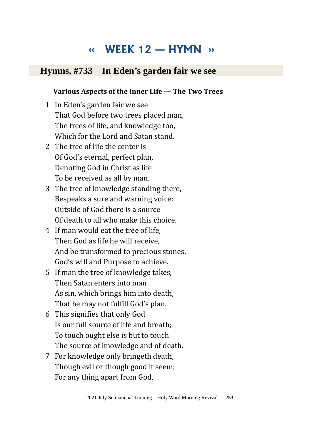# **‹‹ WEEK 12 — HYMN ››**

### **Hymns, #733 In Eden's garden fair we see**

#### **Various Aspects of the Inner Life — The Two Trees**

- 1 In Eden's garden fair we see That God before two trees placed man, The trees of life, and knowledge too, Which for the Lord and Satan stand.
- 2 The tree of life the center is Of God's eternal, perfect plan, Denoting God in Christ as life To be received as all by man.
- 3 The tree of knowledge standing there, Bespeaks a sure and warning voice: Outside of God there is a source Of death to all who make this choice.
- 4 If man would eat the tree of life, Then God as life he will receive, And be transformed to precious stones, God's will and Purpose to achieve.
- 5 If man the tree of knowledge takes, Then Satan enters into man As sin, which brings him into death, That he may not fulfill God's plan.
- 6 This signifies that only God Is our full source of life and breath; To touch ought else is but to touch The source of knowledge and of death.
- 7 For knowledge only bringeth death, Though evil or though good it seem; For any thing apart from God,